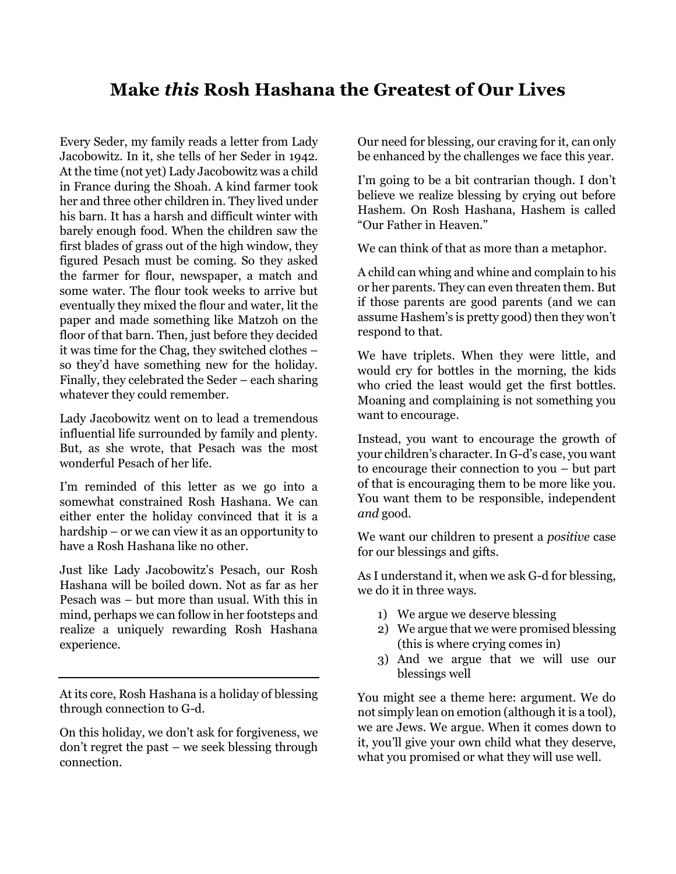# **Make** *this* **Rosh Hashana the Greatest of Our Lives**

Every Seder, my family reads a letter from Lady Jacobowitz. In it, she tells of her Seder in 1942. At the time (not yet) Lady Jacobowitz was a child in France during the Shoah. A kind farmer took her and three other children in. They lived under his barn. It has a harsh and difficult winter with barely enough food. When the children saw the first blades of grass out of the high window, they figured Pesach must be coming. So they asked the farmer for flour, newspaper, a match and some water. The flour took weeks to arrive but eventually they mixed the flour and water, lit the paper and made something like Matzoh on the floor of that barn. Then, just before they decided it was time for the Chag, they switched clothes – so they'd have something new for the holiday. Finally, they celebrated the Seder – each sharing whatever they could remember.

Lady Jacobowitz went on to lead a tremendous influential life surrounded by family and plenty. But, as she wrote, that Pesach was the most wonderful Pesach of her life.

I'm reminded of this letter as we go into a somewhat constrained Rosh Hashana. We can either enter the holiday convinced that it is a hardship – or we can view it as an opportunity to have a Rosh Hashana like no other.

Just like Lady Jacobowitz's Pesach, our Rosh Hashana will be boiled down. Not as far as her Pesach was – but more than usual. With this in mind, perhaps we can follow in her footsteps and realize a uniquely rewarding Rosh Hashana experience.

At its core, Rosh Hashana is a holiday of blessing through connection to G-d.

On this holiday, we don't ask for forgiveness, we don't regret the past – we seek blessing through connection.

Our need for blessing, our craving for it, can only be enhanced by the challenges we face this year.

I'm going to be a bit contrarian though. I don't believe we realize blessing by crying out before Hashem. On Rosh Hashana, Hashem is called "Our Father in Heaven."

We can think of that as more than a metaphor.

A child can whing and whine and complain to his or her parents. They can even threaten them. But if those parents are good parents (and we can assume Hashem's is pretty good) then they won't respond to that.

We have triplets. When they were little, and would cry for bottles in the morning, the kids who cried the least would get the first bottles. Moaning and complaining is not something you want to encourage.

Instead, you want to encourage the growth of your children's character. In G-d's case, you want to encourage their connection to you – but part of that is encouraging them to be more like you. You want them to be responsible, independent *and* good.

We want our children to present a *positive* case for our blessings and gifts.

As I understand it, when we ask G-d for blessing, we do it in three ways.

- 1) We argue we deserve blessing
- 2) We argue that we were promised blessing (this is where crying comes in)
- 3) And we argue that we will use our blessings well

You might see a theme here: argument. We do not simply lean on emotion (although it is a tool), we are Jews. We argue. When it comes down to it, you'll give your own child what they deserve, what you promised or what they will use well.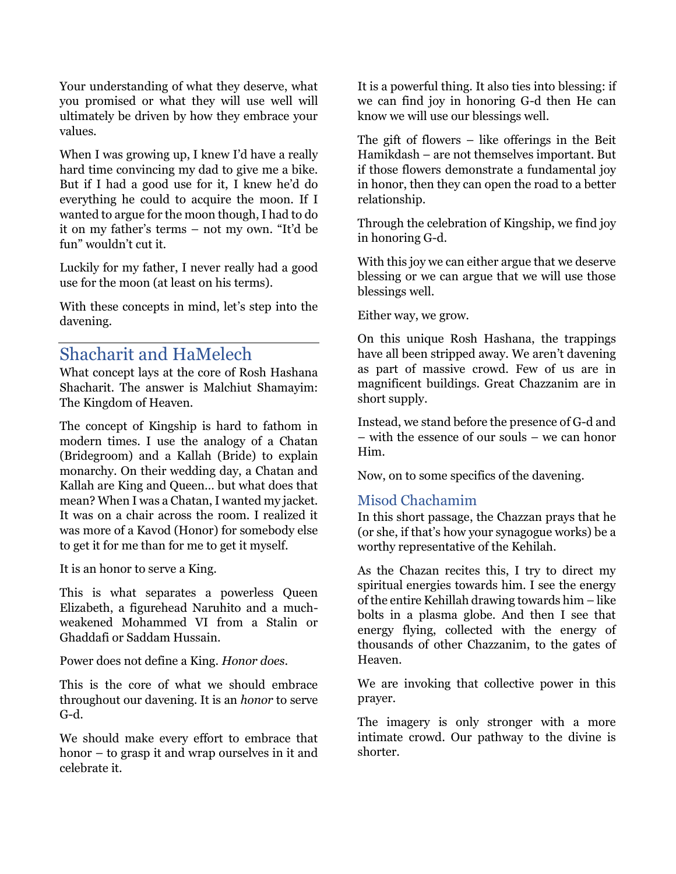Your understanding of what they deserve, what you promised or what they will use well will ultimately be driven by how they embrace your values.

When I was growing up, I knew I'd have a really hard time convincing my dad to give me a bike. But if I had a good use for it, I knew he'd do everything he could to acquire the moon. If I wanted to argue for the moon though, I had to do it on my father's terms – not my own. "It'd be fun" wouldn't cut it.

Luckily for my father, I never really had a good use for the moon (at least on his terms).

With these concepts in mind, let's step into the davening.

# Shacharit and HaMelech

What concept lays at the core of Rosh Hashana Shacharit. The answer is Malchiut Shamayim: The Kingdom of Heaven.

The concept of Kingship is hard to fathom in modern times. I use the analogy of a Chatan (Bridegroom) and a Kallah (Bride) to explain monarchy. On their wedding day, a Chatan and Kallah are King and Queen… but what does that mean? When I was a Chatan, I wanted my jacket. It was on a chair across the room. I realized it was more of a Kavod (Honor) for somebody else to get it for me than for me to get it myself.

It is an honor to serve a King.

This is what separates a powerless Queen Elizabeth, a figurehead Naruhito and a muchweakened Mohammed VI from a Stalin or Ghaddafi or Saddam Hussain.

Power does not define a King. *Honor does*.

This is the core of what we should embrace throughout our davening. It is an *honor* to serve G-d.

We should make every effort to embrace that honor – to grasp it and wrap ourselves in it and celebrate it.

It is a powerful thing. It also ties into blessing: if we can find joy in honoring G-d then He can know we will use our blessings well.

The gift of flowers – like offerings in the Beit Hamikdash – are not themselves important. But if those flowers demonstrate a fundamental joy in honor, then they can open the road to a better relationship.

Through the celebration of Kingship, we find joy in honoring G-d.

With this joy we can either argue that we deserve blessing or we can argue that we will use those blessings well.

Either way, we grow.

On this unique Rosh Hashana, the trappings have all been stripped away. We aren't davening as part of massive crowd. Few of us are in magnificent buildings. Great Chazzanim are in short supply.

Instead, we stand before the presence of G-d and – with the essence of our souls – we can honor Him.

Now, on to some specifics of the davening.

## Misod Chachamim

In this short passage, the Chazzan prays that he (or she, if that's how your synagogue works) be a worthy representative of the Kehilah.

As the Chazan recites this, I try to direct my spiritual energies towards him. I see the energy of the entire Kehillah drawing towards him – like bolts in a plasma globe. And then I see that energy flying, collected with the energy of thousands of other Chazzanim, to the gates of Heaven.

We are invoking that collective power in this prayer.

The imagery is only stronger with a more intimate crowd. Our pathway to the divine is shorter.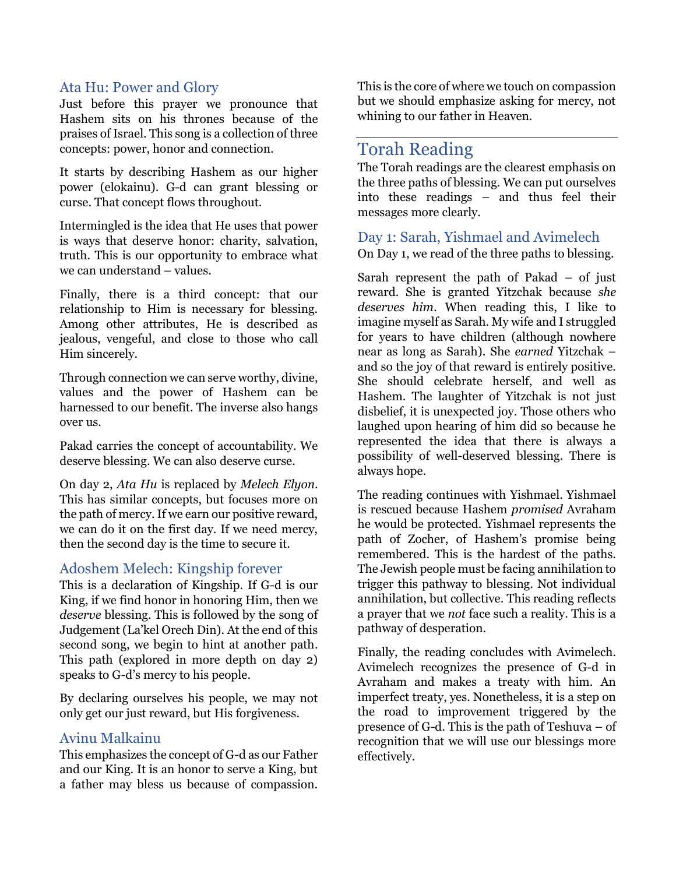### Ata Hu: Power and Glory

Just before this prayer we pronounce that Hashem sits on his thrones because of the praises of Israel. This song is a collection of three concepts: power, honor and connection.

It starts by describing Hashem as our higher power (elokainu). G-d can grant blessing or curse. That concept flows throughout.

Intermingled is the idea that He uses that power is ways that deserve honor: charity, salvation, truth. This is our opportunity to embrace what we can understand – values.

Finally, there is a third concept: that our relationship to Him is necessary for blessing. Among other attributes, He is described as jealous, vengeful, and close to those who call Him sincerely.

Through connection we can serve worthy, divine, values and the power of Hashem can be harnessed to our benefit. The inverse also hangs over us.

Pakad carries the concept of accountability. We deserve blessing. We can also deserve curse.

On day 2, *Ata Hu* is replaced by *Melech Elyon*. This has similar concepts, but focuses more on the path of mercy. If we earn our positive reward, we can do it on the first day. If we need mercy, then the second day is the time to secure it.

### Adoshem Melech: Kingship forever

This is a declaration of Kingship. If G-d is our King, if we find honor in honoring Him, then we *deserve* blessing. This is followed by the song of Judgement (La'kel Orech Din). At the end of this second song, we begin to hint at another path. This path (explored in more depth on day 2) speaks to G-d's mercy to his people.

By declaring ourselves his people, we may not only get our just reward, but His forgiveness.

### Avinu Malkainu

This emphasizes the concept of G-d as our Father and our King. It is an honor to serve a King, but a father may bless us because of compassion.

This is the core of where we touch on compassion but we should emphasize asking for mercy, not whining to our father in Heaven.

# Torah Reading

The Torah readings are the clearest emphasis on the three paths of blessing. We can put ourselves into these readings – and thus feel their messages more clearly.

Day 1: Sarah, Yishmael and Avimelech On Day 1, we read of the three paths to blessing.

Sarah represent the path of Pakad – of just reward. She is granted Yitzchak because *she deserves him*. When reading this, I like to imagine myself as Sarah. My wife and I struggled for years to have children (although nowhere near as long as Sarah). She *earned* Yitzchak – and so the joy of that reward is entirely positive. She should celebrate herself, and well as Hashem. The laughter of Yitzchak is not just disbelief, it is unexpected joy. Those others who laughed upon hearing of him did so because he represented the idea that there is always a possibility of well-deserved blessing. There is always hope.

The reading continues with Yishmael. Yishmael is rescued because Hashem *promised* Avraham he would be protected. Yishmael represents the path of Zocher, of Hashem's promise being remembered. This is the hardest of the paths. The Jewish people must be facing annihilation to trigger this pathway to blessing. Not individual annihilation, but collective. This reading reflects a prayer that we *not* face such a reality. This is a pathway of desperation.

Finally, the reading concludes with Avimelech. Avimelech recognizes the presence of G-d in Avraham and makes a treaty with him. An imperfect treaty, yes. Nonetheless, it is a step on the road to improvement triggered by the presence of G-d. This is the path of Teshuva – of recognition that we will use our blessings more effectively.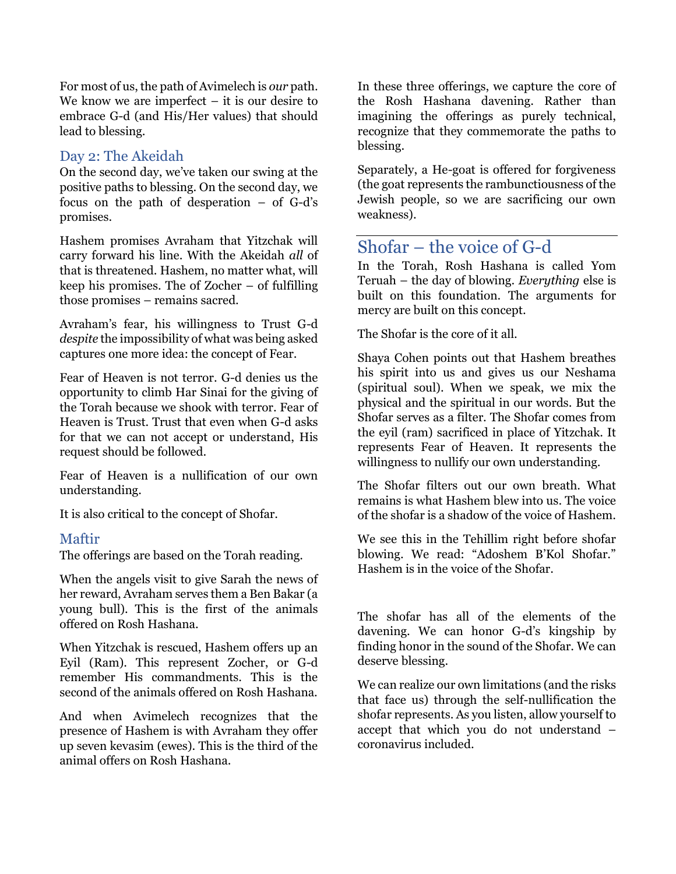For most of us, the path of Avimelech is *our* path. We know we are imperfect  $-$  it is our desire to embrace G-d (and His/Her values) that should lead to blessing.

### Day 2: The Akeidah

On the second day, we've taken our swing at the positive paths to blessing. On the second day, we focus on the path of desperation – of G-d's promises.

Hashem promises Avraham that Yitzchak will carry forward his line. With the Akeidah *all* of that is threatened. Hashem, no matter what, will keep his promises. The of Zocher – of fulfilling those promises – remains sacred.

Avraham's fear, his willingness to Trust G-d *despite* the impossibility of what was being asked captures one more idea: the concept of Fear.

Fear of Heaven is not terror. G-d denies us the opportunity to climb Har Sinai for the giving of the Torah because we shook with terror. Fear of Heaven is Trust. Trust that even when G-d asks for that we can not accept or understand, His request should be followed.

Fear of Heaven is a nullification of our own understanding.

It is also critical to the concept of Shofar.

#### Maftir

The offerings are based on the Torah reading.

When the angels visit to give Sarah the news of her reward, Avraham serves them a Ben Bakar (a young bull). This is the first of the animals offered on Rosh Hashana.

When Yitzchak is rescued, Hashem offers up an Eyil (Ram). This represent Zocher, or G-d remember His commandments. This is the second of the animals offered on Rosh Hashana.

And when Avimelech recognizes that the presence of Hashem is with Avraham they offer up seven kevasim (ewes). This is the third of the animal offers on Rosh Hashana.

In these three offerings, we capture the core of the Rosh Hashana davening. Rather than imagining the offerings as purely technical, recognize that they commemorate the paths to blessing.

Separately, a He-goat is offered for forgiveness (the goat represents the rambunctiousness of the Jewish people, so we are sacrificing our own weakness).

# Shofar – the voice of G-d

In the Torah, Rosh Hashana is called Yom Teruah – the day of blowing. *Everything* else is built on this foundation. The arguments for mercy are built on this concept.

The Shofar is the core of it all.

Shaya Cohen points out that Hashem breathes his spirit into us and gives us our Neshama (spiritual soul). When we speak, we mix the physical and the spiritual in our words. But the Shofar serves as a filter. The Shofar comes from the eyil (ram) sacrificed in place of Yitzchak. It represents Fear of Heaven. It represents the willingness to nullify our own understanding.

The Shofar filters out our own breath. What remains is what Hashem blew into us. The voice of the shofar is a shadow of the voice of Hashem.

We see this in the Tehillim right before shofar blowing. We read: "Adoshem B'Kol Shofar." Hashem is in the voice of the Shofar.

The shofar has all of the elements of the davening. We can honor G-d's kingship by finding honor in the sound of the Shofar. We can deserve blessing.

We can realize our own limitations (and the risks that face us) through the self-nullification the shofar represents. As you listen, allow yourself to accept that which you do not understand – coronavirus included.